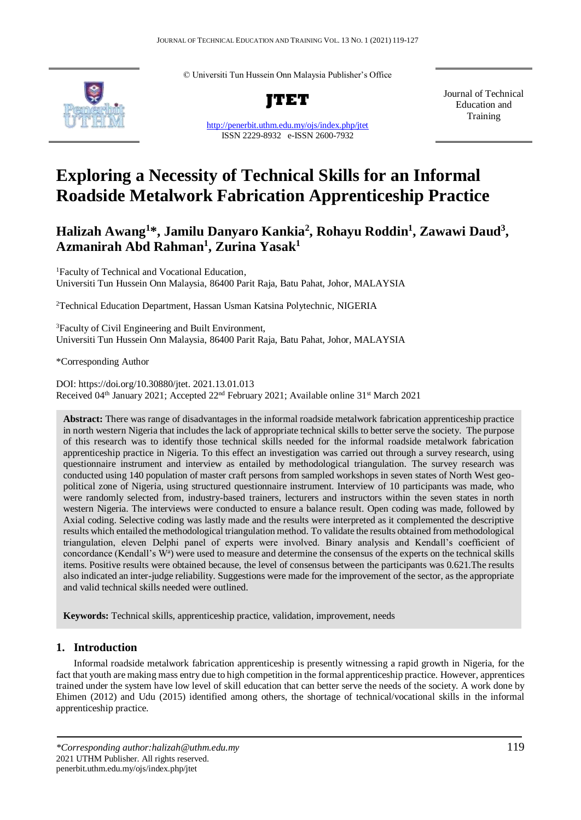© Universiti Tun Hussein Onn Malaysia Publisher's Office



**JTET**

<http://penerbit.uthm.edu.my/ojs/index.php/jtet> ISSN 2229-8932 e-ISSN 2600-7932

Journal of Technical Education and Training

# **Exploring a Necessity of Technical Skills for an Informal Roadside Metalwork Fabrication Apprenticeship Practice**

**Halizah Awang<sup>1</sup>\*, Jamilu Danyaro Kankia<sup>2</sup> , Rohayu Roddin<sup>1</sup> , Zawawi Daud<sup>3</sup> , Azmanirah Abd Rahman<sup>1</sup> , Zurina Yasak<sup>1</sup>**

<sup>1</sup>Faculty of Technical and Vocational Education, Universiti Tun Hussein Onn Malaysia, 86400 Parit Raja, Batu Pahat, Johor, MALAYSIA

<sup>2</sup>Technical Education Department, Hassan Usman Katsina Polytechnic, NIGERIA

<sup>3</sup>Faculty of Civil Engineering and Built Environment, Universiti Tun Hussein Onn Malaysia, 86400 Parit Raja, Batu Pahat, Johor, MALAYSIA

\*Corresponding Author

DOI: https://doi.org/10.30880/jtet. 2021.13.01.013 Received 04<sup>th</sup> January 2021; Accepted 22<sup>nd</sup> February 2021; Available online 31<sup>st</sup> March 2021

**Abstract:** There was range of disadvantages in the informal roadside metalwork fabrication apprenticeship practice in north western Nigeria that includes the lack of appropriate technical skills to better serve the society. The purpose of this research was to identify those technical skills needed for the informal roadside metalwork fabrication apprenticeship practice in Nigeria. To this effect an investigation was carried out through a survey research, using questionnaire instrument and interview as entailed by methodological triangulation. The survey research was conducted using 140 population of master craft persons from sampled workshops in seven states of North West geopolitical zone of Nigeria, using structured questionnaire instrument. Interview of 10 participants was made, who were randomly selected from, industry-based trainers, lecturers and instructors within the seven states in north western Nigeria. The interviews were conducted to ensure a balance result. Open coding was made, followed by Axial coding. Selective coding was lastly made and the results were interpreted as it complemented the descriptive results which entailed the methodological triangulation method. To validate the results obtained from methodological triangulation, eleven Delphi panel of experts were involved. Binary analysis and Kendall's coefficient of concordance (Kendall's W<sup>a</sup>) were used to measure and determine the consensus of the experts on the technical skills items. Positive results were obtained because, the level of consensus between the participants was 0.621.The results also indicated an inter-judge reliability. Suggestions were made for the improvement of the sector, as the appropriate and valid technical skills needed were outlined.

**Keywords:** Technical skills, apprenticeship practice, validation, improvement, needs

## **1. Introduction**

Informal roadside metalwork fabrication apprenticeship is presently witnessing a rapid growth in Nigeria, for the fact that youth are making mass entry due to high competition in the formal apprenticeship practice. However, apprentices trained under the system have low level of skill education that can better serve the needs of the society. A work done by Ehimen (2012) and Udu (2015) identified among others, the shortage of technical/vocational skills in the informal apprenticeship practice.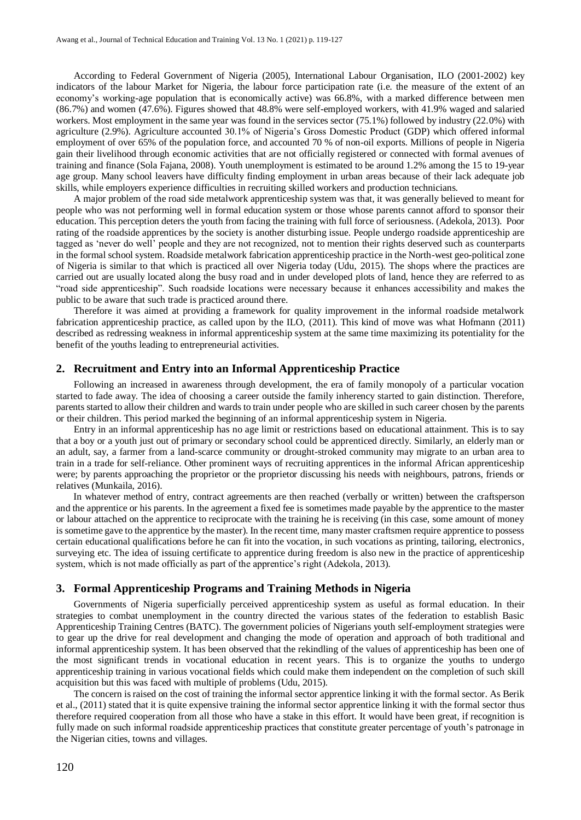According to Federal Government of Nigeria (2005), International Labour Organisation, ILO (2001-2002) key indicators of the labour Market for Nigeria, the labour force participation rate (i.e. the measure of the extent of an economy's working-age population that is economically active) was 66.8%, with a marked difference between men (86.7%) and women (47.6%). Figures showed that 48.8% were self-employed workers, with 41.9% waged and salaried workers. Most employment in the same year was found in the services sector (75.1%) followed by industry (22.0%) with agriculture (2.9%). Agriculture accounted 30.1% of Nigeria's Gross Domestic Product (GDP) which offered informal employment of over 65% of the population force, and accounted 70 % of non-oil exports. Millions of people in Nigeria gain their livelihood through economic activities that are not officially registered or connected with formal avenues of training and finance (Sola Fajana, 2008). Youth unemployment is estimated to be around 1.2% among the 15 to 19-year age group. Many school leavers have difficulty finding employment in urban areas because of their lack adequate job skills, while employers experience difficulties in recruiting skilled workers and production technicians.

A major problem of the road side metalwork apprenticeship system was that, it was generally believed to meant for people who was not performing well in formal education system or those whose parents cannot afford to sponsor their education. This perception deters the youth from facing the training with full force of seriousness. (Adekola, 2013). Poor rating of the roadside apprentices by the society is another disturbing issue. People undergo roadside apprenticeship are tagged as 'never do well' people and they are not recognized, not to mention their rights deserved such as counterparts in the formal school system. Roadside metalwork fabrication apprenticeship practice in the North-west geo-political zone of Nigeria is similar to that which is practiced all over Nigeria today (Udu, 2015). The shops where the practices are carried out are usually located along the busy road and in under developed plots of land, hence they are referred to as "road side apprenticeship". Such roadside locations were necessary because it enhances accessibility and makes the public to be aware that such trade is practiced around there.

Therefore it was aimed at providing a framework for quality improvement in the informal roadside metalwork fabrication apprenticeship practice, as called upon by the ILO, (2011). This kind of move was what Hofmann (2011) described as redressing weakness in informal apprenticeship system at the same time maximizing its potentiality for the benefit of the youths leading to entrepreneurial activities.

#### **2. Recruitment and Entry into an Informal Apprenticeship Practice**

Following an increased in awareness through development, the era of family monopoly of a particular vocation started to fade away. The idea of choosing a career outside the family inherency started to gain distinction. Therefore, parents started to allow their children and wards to train under people who are skilled in such career chosen by the parents or their children. This period marked the beginning of an informal apprenticeship system in Nigeria.

Entry in an informal apprenticeship has no age limit or restrictions based on educational attainment. This is to say that a boy or a youth just out of primary or secondary school could be apprenticed directly. Similarly, an elderly man or an adult, say, a farmer from a land-scarce community or drought-stroked community may migrate to an urban area to train in a trade for self-reliance. Other prominent ways of recruiting apprentices in the informal African apprenticeship were; by parents approaching the proprietor or the proprietor discussing his needs with neighbours, patrons, friends or relatives (Munkaila, 2016).

In whatever method of entry, contract agreements are then reached (verbally or written) between the craftsperson and the apprentice or his parents. In the agreement a fixed fee is sometimes made payable by the apprentice to the master or labour attached on the apprentice to reciprocate with the training he is receiving (in this case, some amount of money is sometime gave to the apprentice by the master). In the recent time, many master craftsmen require apprentice to possess certain educational qualifications before he can fit into the vocation, in such vocations as printing, tailoring, electronics, surveying etc. The idea of issuing certificate to apprentice during freedom is also new in the practice of apprenticeship system, which is not made officially as part of the apprentice's right (Adekola, 2013).

#### **3. Formal Apprenticeship Programs and Training Methods in Nigeria**

Governments of Nigeria superficially perceived apprenticeship system as useful as formal education. In their strategies to combat unemployment in the country directed the various states of the federation to establish Basic Apprenticeship Training Centres (BATC). The government policies of Nigerians youth self-employment strategies were to gear up the drive for real development and changing the mode of operation and approach of both traditional and informal apprenticeship system. It has been observed that the rekindling of the values of apprenticeship has been one of the most significant trends in vocational education in recent years. This is to organize the youths to undergo apprenticeship training in various vocational fields which could make them independent on the completion of such skill acquisition but this was faced with multiple of problems (Udu, 2015).

The concern is raised on the cost of training the informal sector apprentice linking it with the formal sector. As Berik et al., (2011) stated that it is quite expensive training the informal sector apprentice linking it with the formal sector thus therefore required cooperation from all those who have a stake in this effort. It would have been great, if recognition is fully made on such informal roadside apprenticeship practices that constitute greater percentage of youth's patronage in the Nigerian cities, towns and villages.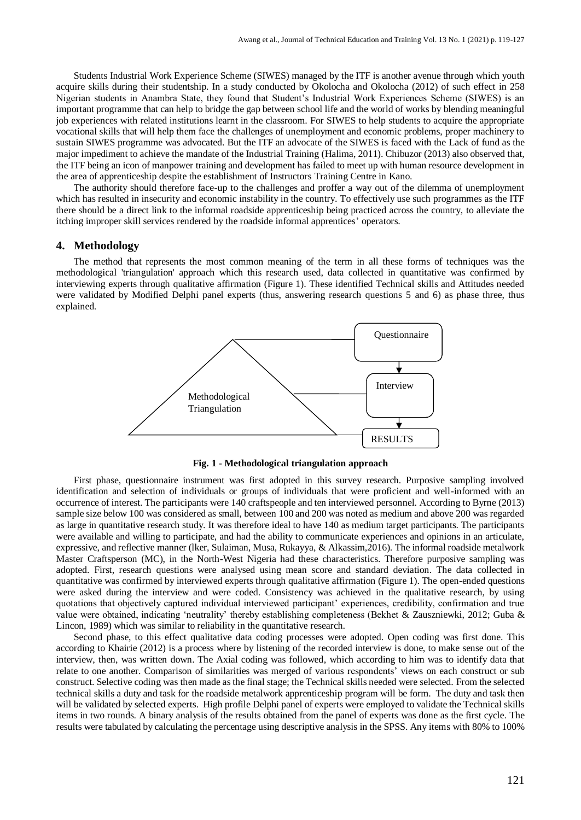Students Industrial Work Experience Scheme (SIWES) managed by the ITF is another avenue through which youth acquire skills during their studentship. In a study conducted by Okolocha and Okolocha (2012) of such effect in 258 Nigerian students in Anambra State, they found that Student's Industrial Work Experiences Scheme (SIWES) is an important programme that can help to bridge the gap between school life and the world of works by blending meaningful job experiences with related institutions learnt in the classroom. For SIWES to help students to acquire the appropriate vocational skills that will help them face the challenges of unemployment and economic problems, proper machinery to sustain SIWES programme was advocated. But the ITF an advocate of the SIWES is faced with the Lack of fund as the major impediment to achieve the mandate of the Industrial Training (Halima, 2011). Chibuzor (2013) also observed that, the ITF being an icon of manpower training and development has failed to meet up with human resource development in the area of apprenticeship despite the establishment of Instructors Training Centre in Kano.

The authority should therefore face-up to the challenges and proffer a way out of the dilemma of unemployment which has resulted in insecurity and economic instability in the country. To effectively use such programmes as the ITF there should be a direct link to the informal roadside apprenticeship being practiced across the country, to alleviate the itching improper skill services rendered by the roadside informal apprentices' operators.

#### **4. Methodology**

The method that represents the most common meaning of the term in all these forms of techniques was the methodological 'triangulation' approach which this research used, data collected in quantitative was confirmed by interviewing experts through qualitative affirmation (Figure 1). These identified Technical skills and Attitudes needed were validated by Modified Delphi panel experts (thus, answering research questions 5 and 6) as phase three, thus explained.



**Fig. 1 - Methodological triangulation approach**

First phase, questionnaire instrument was first adopted in this survey research. Purposive sampling involved identification and selection of individuals or groups of individuals that were proficient and well-informed with an occurrence of interest. The participants were 140 craftspeople and ten interviewed personnel. According to Byrne (2013) sample size below 100 was considered as small, between 100 and 200 was noted as medium and above 200 was regarded as large in quantitative research study. It was therefore ideal to have 140 as medium target participants. The participants were available and willing to participate, and had the ability to communicate experiences and opinions in an articulate, expressive, and reflective manner (lker, Sulaiman, Musa, Rukayya, & Alkassim,2016). The informal roadside metalwork Master Craftsperson (MC), in the North-West Nigeria had these characteristics. Therefore purposive sampling was adopted. First, research questions were analysed using mean score and standard deviation. The data collected in quantitative was confirmed by interviewed experts through qualitative affirmation (Figure 1). The open-ended questions were asked during the interview and were coded. Consistency was achieved in the qualitative research, by using quotations that objectively captured individual interviewed participant' experiences, credibility, confirmation and true value were obtained, indicating 'neutrality' thereby establishing completeness (Bekhet & Zauszniewki, 2012; Guba & Lincon, 1989) which was similar to reliability in the quantitative research.

Second phase, to this effect qualitative data coding processes were adopted. Open coding was first done. This according to Khairie (2012) is a process where by listening of the recorded interview is done, to make sense out of the interview, then, was written down. The Axial coding was followed, which according to him was to identify data that relate to one another. Comparison of similarities was merged of various respondents' views on each construct or sub construct. Selective coding was then made as the final stage; the Technical skills needed were selected. From the selected technical skills a duty and task for the roadside metalwork apprenticeship program will be form. The duty and task then will be validated by selected experts. High profile Delphi panel of experts were employed to validate the Technical skills items in two rounds. A binary analysis of the results obtained from the panel of experts was done as the first cycle. The results were tabulated by calculating the percentage using descriptive analysis in the SPSS. Any items with 80% to 100%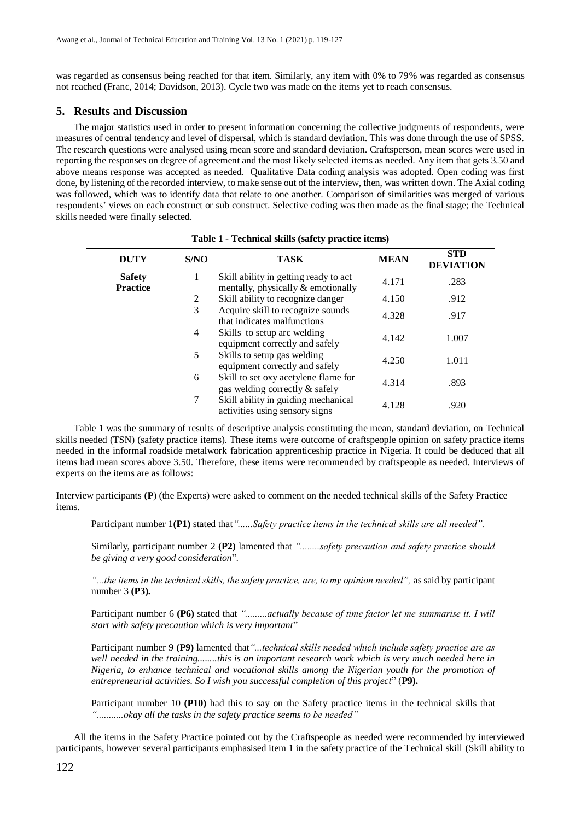was regarded as consensus being reached for that item. Similarly, any item with 0% to 79% was regarded as consensus not reached (Franc, 2014; Davidson, 2013). Cycle two was made on the items yet to reach consensus.

#### **5. Results and Discussion**

The major statistics used in order to present information concerning the collective judgments of respondents, were measures of central tendency and level of dispersal, which is standard deviation. This was done through the use of SPSS. The research questions were analysed using mean score and standard deviation. Craftsperson, mean scores were used in reporting the responses on degree of agreement and the most likely selected items as needed. Any item that gets 3.50 and above means response was accepted as needed. Qualitative Data coding analysis was adopted. Open coding was first done, by listening of the recorded interview, to make sense out of the interview, then, was written down. The Axial coding was followed, which was to identify data that relate to one another. Comparison of similarities was merged of various respondents' views on each construct or sub construct. Selective coding was then made as the final stage; the Technical skills needed were finally selected.

| <b>DUTY</b>                      | S/NO | <b>TASK</b>                                                                  | <b>MEAN</b> | <b>STD</b><br><b>DEVIATION</b> |
|----------------------------------|------|------------------------------------------------------------------------------|-------------|--------------------------------|
| <b>Safety</b><br><b>Practice</b> |      | Skill ability in getting ready to act.<br>mentally, physically & emotionally | 4.171       | .283                           |
|                                  | 2    | Skill ability to recognize danger                                            | 4.150       | .912                           |
|                                  | 3    | Acquire skill to recognize sounds<br>that indicates malfunctions             | 4.328       | .917                           |
|                                  | 4    | Skills to setup arc welding<br>equipment correctly and safely                | 4.142       | 1.007                          |
|                                  | 5    | Skills to setup gas welding<br>equipment correctly and safely                | 4.250       | 1.011                          |
|                                  | 6    | Skill to set oxy acetylene flame for<br>gas welding correctly & safely       | 4.314       | .893                           |
|                                  | 7    | Skill ability in guiding mechanical<br>activities using sensory signs        | 4.128       | .920                           |

Table 1 was the summary of results of descriptive analysis constituting the mean, standard deviation, on Technical skills needed (TSN) (safety practice items). These items were outcome of craftspeople opinion on safety practice items needed in the informal roadside metalwork fabrication apprenticeship practice in Nigeria. It could be deduced that all items had mean scores above 3.50. Therefore, these items were recommended by craftspeople as needed. Interviews of experts on the items are as follows:

Interview participants **(P**) (the Experts) were asked to comment on the needed technical skills of the Safety Practice items.

Participant number 1**(P1)** stated that*"......Safety practice items in the technical skills are all needed".*

Similarly, participant number 2 **(P2)** lamented that *"........safety precaution and safety practice should be giving a very good consideration*".

*"...the items in the technical skills, the safety practice, are, to my opinion needed",* as said by participant number 3 **(P3).**

Participant number 6 **(P6)** stated that *".........actually because of time factor let me summarise it. I will start with safety precaution which is very important*"

Participant number 9 **(P9)** lamented that*"...technical skills needed which include safety practice are as well needed in the training........this is an important research work which is very much needed here in Nigeria, to enhance technical and vocational skills among the Nigerian youth for the promotion of entrepreneurial activities. So I wish you successful completion of this project*" (**P9).**

Participant number 10 **(P10)** had this to say on the Safety practice items in the technical skills that *"...........okay all the tasks in the safety practice seems to be needed"*

All the items in the Safety Practice pointed out by the Craftspeople as needed were recommended by interviewed participants, however several participants emphasised item 1 in the safety practice of the Technical skill (Skill ability to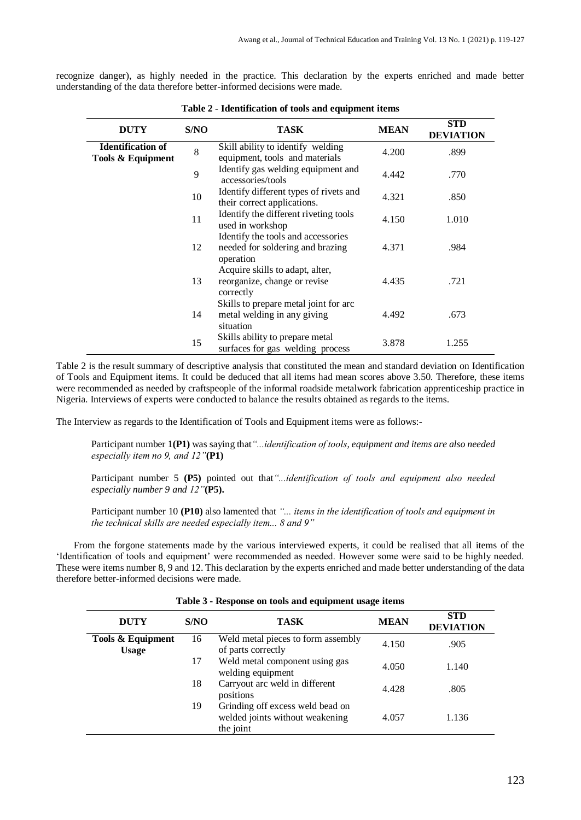recognize danger), as highly needed in the practice. This declaration by the experts enriched and made better understanding of the data therefore better-informed decisions were made.

| <b>DUTY</b>                                   | S/NO | <b>TASK</b>                                                                         | <b>MEAN</b> | <b>STD</b><br><b>DEVIATION</b> |
|-----------------------------------------------|------|-------------------------------------------------------------------------------------|-------------|--------------------------------|
| <b>Identification of</b><br>Tools & Equipment | 8    | Skill ability to identify welding<br>equipment, tools and materials                 | 4.200       | .899                           |
|                                               | 9    | Identify gas welding equipment and<br>accessories/tools                             | 4.442       | .770                           |
|                                               | 10   | Identify different types of rivets and<br>their correct applications.               | 4.321       | .850                           |
|                                               | 11   | Identify the different riveting tools<br>used in workshop                           | 4.150       | 1.010                          |
|                                               | 12   | Identify the tools and accessories<br>needed for soldering and brazing<br>operation | 4.371       | .984                           |
|                                               | 13   | Acquire skills to adapt, alter,<br>reorganize, change or revise<br>correctly        | 4.435       | .721                           |
|                                               | 14   | Skills to prepare metal joint for arc<br>metal welding in any giving<br>situation   | 4.492       | .673                           |
|                                               | 15   | Skills ability to prepare metal<br>surfaces for gas welding process                 | 3.878       | 1.255                          |

**Table 2 - Identification of tools and equipment items**

Table 2 is the result summary of descriptive analysis that constituted the mean and standard deviation on Identification of Tools and Equipment items. It could be deduced that all items had mean scores above 3.50. Therefore, these items were recommended as needed by craftspeople of the informal roadside metalwork fabrication apprenticeship practice in Nigeria. Interviews of experts were conducted to balance the results obtained as regards to the items.

The Interview as regards to the Identification of Tools and Equipment items were as follows:-

Participant number 1**(P1)** was saying that*"...identification of tools, equipment and items are also needed especially item no 9, and 12"***(P1)**

Participant number 5 **(P5)** pointed out that*"...identification of tools and equipment also needed especially number 9 and 12"***(P5).**

Participant number 10 **(P10)** also lamented that *"... items in the identification of tools and equipment in the technical skills are needed especially item... 8 and 9"*

From the forgone statements made by the various interviewed experts, it could be realised that all items of the 'Identification of tools and equipment' were recommended as needed. However some were said to be highly needed. These were items number 8, 9 and 12. This declaration by the experts enriched and made better understanding of the data therefore better-informed decisions were made.

| <b>DUTY</b>                       | S/NO | TASK                                                                             | <b>MEAN</b> | <b>STD</b><br><b>DEVIATION</b> |  |
|-----------------------------------|------|----------------------------------------------------------------------------------|-------------|--------------------------------|--|
| Tools & Equipment<br><b>Usage</b> | 16   | Weld metal pieces to form assembly<br>of parts correctly                         | 4.150       | .905                           |  |
|                                   | 17   | Weld metal component using gas<br>welding equipment                              | 4.050       | 1.140                          |  |
|                                   | 18   | Carryout arc weld in different<br>positions                                      | 4.428       | .805                           |  |
|                                   | 19   | Grinding off excess weld bead on<br>welded joints without weakening<br>the joint | 4.057       | 1.136                          |  |

**Table 3 - Response on tools and equipment usage items**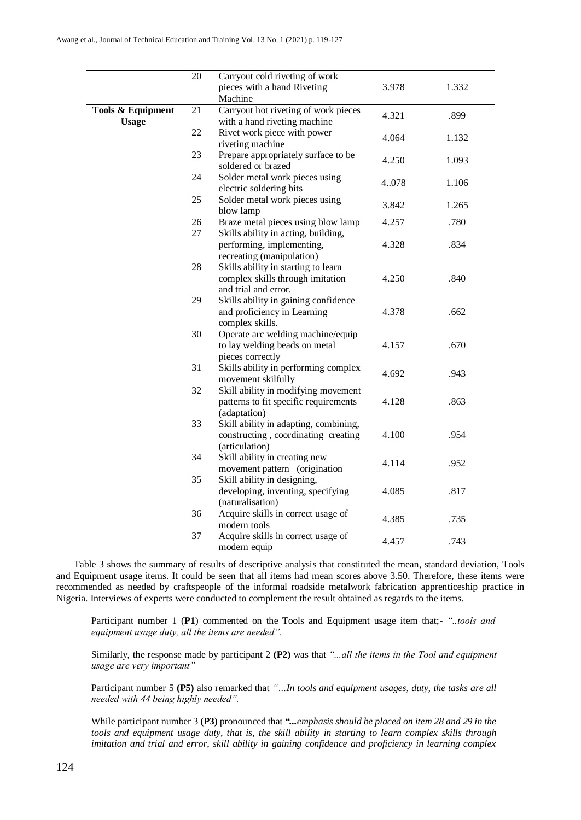|                                   | $\overline{20}$ | Carryout cold riveting of work                                                                  |       |       |
|-----------------------------------|-----------------|-------------------------------------------------------------------------------------------------|-------|-------|
|                                   |                 | pieces with a hand Riveting                                                                     | 3.978 | 1.332 |
|                                   |                 | Machine                                                                                         |       |       |
| Tools & Equipment<br><b>Usage</b> | 21              | Carryout hot riveting of work pieces<br>with a hand riveting machine                            | 4.321 | .899  |
|                                   | 22              | Rivet work piece with power<br>riveting machine                                                 | 4.064 | 1.132 |
|                                   | 23              | Prepare appropriately surface to be<br>soldered or brazed                                       | 4.250 | 1.093 |
|                                   | 24              | Solder metal work pieces using<br>electric soldering bits                                       | 4.078 | 1.106 |
|                                   | 25              | Solder metal work pieces using<br>blow lamp                                                     | 3.842 | 1.265 |
|                                   | 26<br>27        | Braze metal pieces using blow lamp<br>Skills ability in acting, building,                       | 4.257 | .780  |
|                                   |                 | performing, implementing,<br>recreating (manipulation)                                          | 4.328 | .834  |
|                                   | 28              | Skills ability in starting to learn<br>complex skills through imitation<br>and trial and error. | 4.250 | .840  |
|                                   | 29              | Skills ability in gaining confidence<br>and proficiency in Learning<br>complex skills.          | 4.378 | .662  |
|                                   | 30              | Operate arc welding machine/equip<br>to lay welding beads on metal<br>pieces correctly          | 4.157 | .670  |
|                                   | 31              | Skills ability in performing complex<br>movement skilfully                                      | 4.692 | .943  |
|                                   | 32              | Skill ability in modifying movement<br>patterns to fit specific requirements<br>(adaptation)    | 4.128 | .863  |
|                                   | 33              | Skill ability in adapting, combining,<br>constructing, coordinating creating<br>(articulation)  | 4.100 | .954  |
|                                   | 34              | Skill ability in creating new<br>movement pattern (origination                                  | 4.114 | .952  |
|                                   | 35              | Skill ability in designing,<br>developing, inventing, specifying                                | 4.085 | .817  |
|                                   | 36              | (naturalisation)<br>Acquire skills in correct usage of<br>modern tools                          | 4.385 | .735  |
|                                   | 37              | Acquire skills in correct usage of<br>modern equip                                              | 4.457 | .743  |

Table 3 shows the summary of results of descriptive analysis that constituted the mean, standard deviation, Tools and Equipment usage items. It could be seen that all items had mean scores above 3.50. Therefore, these items were recommended as needed by craftspeople of the informal roadside metalwork fabrication apprenticeship practice in Nigeria. Interviews of experts were conducted to complement the result obtained as regards to the items.

Participant number 1 (**P1**) commented on the Tools and Equipment usage item that;- *"..tools and equipment usage duty, all the items are needed".* 

Similarly, the response made by participant 2 **(P2)** was that *"...all the items in the Tool and equipment usage are very important"*

Participant number 5 **(P5)** also remarked that *"…In tools and equipment usages, duty, the tasks are all needed with 44 being highly needed".* 

While participant number 3 **(P3)** pronounced that *"...emphasis should be placed on item 28 and 29 in the tools and equipment usage duty, that is, the skill ability in starting to learn complex skills through imitation and trial and error, skill ability in gaining confidence and proficiency in learning complex*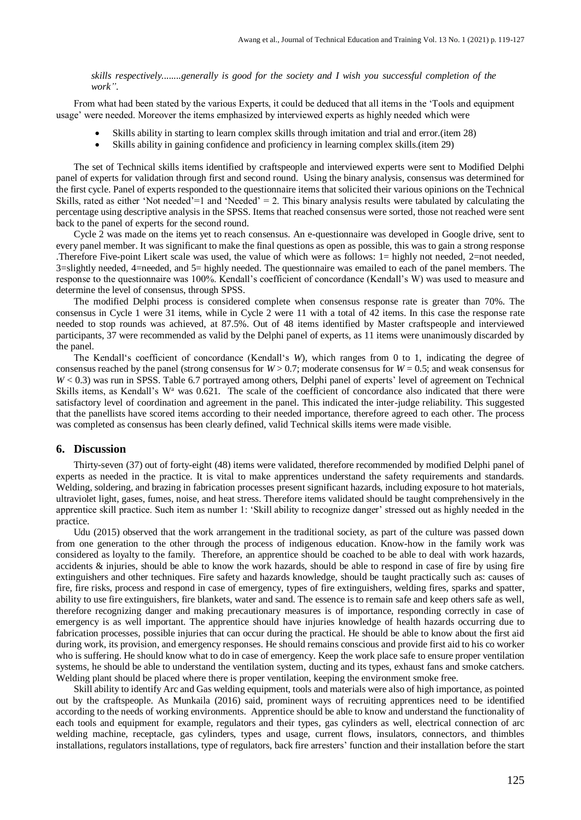*skills respectively........generally is good for the society and I wish you successful completion of the work"*.

From what had been stated by the various Experts, it could be deduced that all items in the 'Tools and equipment usage' were needed. Moreover the items emphasized by interviewed experts as highly needed which were

- Skills ability in starting to learn complex skills through imitation and trial and error.(item 28)
- Skills ability in gaining confidence and proficiency in learning complex skills.(item 29)

The set of Technical skills items identified by craftspeople and interviewed experts were sent to Modified Delphi panel of experts for validation through first and second round. Using the binary analysis, consensus was determined for the first cycle. Panel of experts responded to the questionnaire items that solicited their various opinions on the Technical Skills, rated as either 'Not needed' $=1$  and 'Needed'  $=2$ . This binary analysis results were tabulated by calculating the percentage using descriptive analysis in the SPSS. Items that reached consensus were sorted, those not reached were sent back to the panel of experts for the second round.

Cycle 2 was made on the items yet to reach consensus. An e-questionnaire was developed in Google drive, sent to every panel member. It was significant to make the final questions as open as possible, this was to gain a strong response .Therefore Five-point Likert scale was used, the value of which were as follows: 1= highly not needed, 2=not needed, 3=slightly needed, 4=needed, and 5= highly needed. The questionnaire was emailed to each of the panel members. The response to the questionnaire was 100%. Kendall's coefficient of concordance (Kendall's W) was used to measure and determine the level of consensus, through SPSS.

The modified Delphi process is considered complete when consensus response rate is greater than 70%. The consensus in Cycle 1 were 31 items, while in Cycle 2 were 11 with a total of 42 items. In this case the response rate needed to stop rounds was achieved, at 87.5%. Out of 48 items identified by Master craftspeople and interviewed participants, 37 were recommended as valid by the Delphi panel of experts, as 11 items were unanimously discarded by the panel.

The Kendall's coefficient of concordance (Kendall's *W*), which ranges from 0 to 1, indicating the degree of consensus reached by the panel (strong consensus for  $W > 0.7$ ; moderate consensus for  $W = 0.5$ ; and weak consensus for *W* < 0.3) was run in SPSS. Table 6.7 portrayed among others, Delphi panel of experts' level of agreement on Technical Skills items, as Kendall's W<sup>a</sup> was  $0.621$ . The scale of the coefficient of concordance also indicated that there were satisfactory level of coordination and agreement in the panel. This indicated the inter-judge reliability. This suggested that the panellists have scored items according to their needed importance, therefore agreed to each other. The process was completed as consensus has been clearly defined, valid Technical skills items were made visible.

#### **6. Discussion**

Thirty-seven (37) out of forty-eight (48) items were validated, therefore recommended by modified Delphi panel of experts as needed in the practice. It is vital to make apprentices understand the safety requirements and standards. Welding, soldering, and brazing in fabrication processes present significant hazards, including exposure to hot materials, ultraviolet light, gases, fumes, noise, and heat stress. Therefore items validated should be taught comprehensively in the apprentice skill practice. Such item as number 1: 'Skill ability to recognize danger' stressed out as highly needed in the practice.

Udu (2015) observed that the work arrangement in the traditional society, as part of the culture was passed down from one generation to the other through the process of indigenous education. Know-how in the family work was considered as loyalty to the family. Therefore, an apprentice should be coached to be able to deal with work hazards, accidents & injuries, should be able to know the work hazards, should be able to respond in case of fire by using fire extinguishers and other techniques. Fire safety and hazards knowledge, should be taught practically such as: causes of fire, fire risks, process and respond in case of emergency, types of fire extinguishers, welding fires, sparks and spatter, ability to use fire extinguishers, fire blankets, water and sand. The essence is to remain safe and keep others safe as well, therefore recognizing danger and making precautionary measures is of importance, responding correctly in case of emergency is as well important. The apprentice should have injuries knowledge of health hazards occurring due to fabrication processes, possible injuries that can occur during the practical. He should be able to know about the first aid during work, its provision, and emergency responses. He should remains conscious and provide first aid to his co worker who is suffering. He should know what to do in case of emergency. Keep the work place safe to ensure proper ventilation systems, he should be able to understand the ventilation system, ducting and its types, exhaust fans and smoke catchers. Welding plant should be placed where there is proper ventilation, keeping the environment smoke free.

Skill ability to identify Arc and Gas welding equipment, tools and materials were also of high importance, as pointed out by the craftspeople. As Munkaila (2016) said, prominent ways of recruiting apprentices need to be identified according to the needs of working environments. Apprentice should be able to know and understand the functionality of each tools and equipment for example, regulators and their types, gas cylinders as well, electrical connection of arc welding machine, receptacle, gas cylinders, types and usage, current flows, insulators, connectors, and thimbles installations, regulators installations, type of regulators, back fire arresters' function and their installation before the start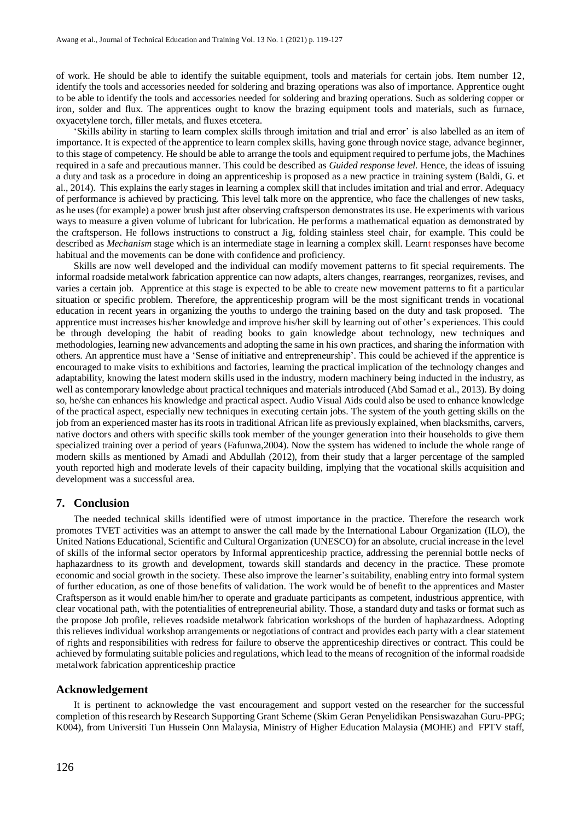of work. He should be able to identify the suitable equipment, tools and materials for certain jobs. Item number 12, identify the tools and accessories needed for soldering and brazing operations was also of importance. Apprentice ought to be able to identify the tools and accessories needed for soldering and brazing operations. Such as soldering copper or iron, solder and flux. The apprentices ought to know the brazing equipment tools and materials, such as furnace, oxyacetylene torch, filler metals, and fluxes etcetera.

'Skills ability in starting to learn complex skills through imitation and trial and error' is also labelled as an item of importance. It is expected of the apprentice to learn complex skills, having gone through novice stage, advance beginner, to this stage of competency. He should be able to arrange the tools and equipment required to perfume jobs, the Machines required in a safe and precautious manner. This could be described as *Guided response level.* Hence, the ideas of issuing a duty and task as a procedure in doing an apprenticeship is proposed as a new practice in training system (Baldi, G. et al., 2014). This explains the early stages in learning a complex skill that includes imitation and trial and error. Adequacy of performance is achieved by practicing. This level talk more on the apprentice, who face the challenges of new tasks, as he uses (for example) a power brush just after observing craftsperson demonstratesits use. He experiments with various ways to measure a given volume of lubricant for lubrication. He performs a mathematical equation as demonstrated by the craftsperson. He follows instructions to construct a Jig, folding stainless steel chair, for example. This could be described as *Mechanism* stage which is an intermediate stage in learning a complex skill. Learnt responses have become habitual and the movements can be done with confidence and proficiency.

Skills are now well developed and the individual can modify movement patterns to fit special requirements. The informal roadside metalwork fabrication apprentice can now adapts, alters changes, rearranges, reorganizes, revises, and varies a certain job. Apprentice at this stage is expected to be able to create new movement patterns to fit a particular situation or specific problem. Therefore, the apprenticeship program will be the most significant trends in vocational education in recent years in organizing the youths to undergo the training based on the duty and task proposed. The apprentice must increases his/her knowledge and improve his/her skill by learning out of other's experiences. This could be through developing the habit of reading books to gain knowledge about technology, new techniques and methodologies, learning new advancements and adopting the same in his own practices, and sharing the information with others. An apprentice must have a 'Sense of initiative and entrepreneurship'. This could be achieved if the apprentice is encouraged to make visits to exhibitions and factories, learning the practical implication of the technology changes and adaptability, knowing the latest modern skills used in the industry, modern machinery being inducted in the industry, as well as contemporary knowledge about practical techniques and materials introduced (Abd Samad et al., 2013). By doing so, he/she can enhances his knowledge and practical aspect. Audio Visual Aids could also be used to enhance knowledge of the practical aspect, especially new techniques in executing certain jobs. The system of the youth getting skills on the job from an experienced master has its roots in traditional African life as previously explained, when blacksmiths, carvers, native doctors and others with specific skills took member of the younger generation into their households to give them specialized training over a period of years (Fafunwa,2004). Now the system has widened to include the whole range of modern skills as mentioned by Amadi and Abdullah (2012), from their study that a larger percentage of the sampled youth reported high and moderate levels of their capacity building, implying that the vocational skills acquisition and development was a successful area.

#### **7. Conclusion**

The needed technical skills identified were of utmost importance in the practice. Therefore the research work promotes TVET activities was an attempt to answer the call made by the International Labour Organization (ILO), the United Nations Educational, Scientific and Cultural Organization (UNESCO) for an absolute, crucial increase in the level of skills of the informal sector operators by Informal apprenticeship practice, addressing the perennial bottle necks of haphazardness to its growth and development, towards skill standards and decency in the practice. These promote economic and social growth in the society. These also improve the learner's suitability, enabling entry into formal system of further education, as one of those benefits of validation. The work would be of benefit to the apprentices and Master Craftsperson as it would enable him/her to operate and graduate participants as competent, industrious apprentice, with clear vocational path, with the potentialities of entrepreneurial ability. Those, a standard duty and tasks or format such as the propose Job profile, relieves roadside metalwork fabrication workshops of the burden of haphazardness. Adopting this relieves individual workshop arrangements or negotiations of contract and provides each party with a clear statement of rights and responsibilities with redress for failure to observe the apprenticeship directives or contract. This could be achieved by formulating suitable policies and regulations, which lead to the means of recognition of the informal roadside metalwork fabrication apprenticeship practice

#### **Acknowledgement**

It is pertinent to acknowledge the vast encouragement and support vested on the researcher for the successful completion of thisresearch byResearch Supporting Grant Scheme (Skim Geran Penyelidikan Pensiswazahan Guru-PPG; K004), from Universiti Tun Hussein Onn Malaysia, Ministry of Higher Education Malaysia (MOHE) and FPTV staff,